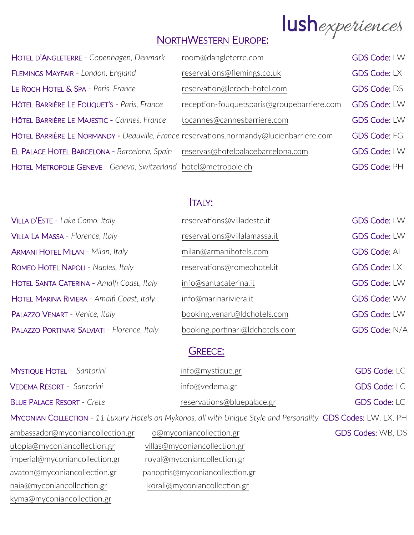# lushexperiences

# NORTHWESTERN EUROPE:

| room@dangleterre.com                       | <b>GDS Code: LW</b>                                                                                                                                        |
|--------------------------------------------|------------------------------------------------------------------------------------------------------------------------------------------------------------|
| reservations@flemings.co.uk                | <b>GDS Code: LX</b>                                                                                                                                        |
| reservation@leroch-hotel.com               | <b>GDS Code: DS</b>                                                                                                                                        |
| reception-fouquetsparis@groupebarriere.com | <b>GDS Code: LW</b>                                                                                                                                        |
| tocannes@cannesbarriere.com                | <b>GDS Code: LW</b>                                                                                                                                        |
|                                            | <b>GDS Code: FG</b>                                                                                                                                        |
| reservas@hotelpalacebarcelona.com          | <b>GDS Code: LW</b>                                                                                                                                        |
|                                            | <b>GDS Code: PH</b>                                                                                                                                        |
|                                            | HÔTEL BARRIÈRE LE NORMANDY - Deauville, France reservations.normandy@lucienbarriere.com<br>HOTEL METROPOLE GENEVE - Geneva, Switzerland hotel@metropole.ch |

## ITALY:

| VILLA LA MASSA - Florence, Italy<br>reservations@villalamassa.it<br><b>ARMANI HOTEL MILAN - Milan, Italy</b><br>milan@armanihotels.com<br>ROMEO HOTEL NAPOLI - Naples, Italy<br>reservations@romeohotel.it<br>HOTEL SANTA CATERINA - Amalfi Coast, Italy<br>info@santacaterina.it<br>HOTEL MARINA RIVIERA - Amalfi Coast, Italy<br>info@marinariviera.it<br>PALAZZO VENART - Venice, Italy<br>booking.venart@ldchotels.com | VILLA D'ESTE - Lake Como, Italy              | reservations@villadeste.it      | <b>GDS Code: LW</b>  |
|----------------------------------------------------------------------------------------------------------------------------------------------------------------------------------------------------------------------------------------------------------------------------------------------------------------------------------------------------------------------------------------------------------------------------|----------------------------------------------|---------------------------------|----------------------|
|                                                                                                                                                                                                                                                                                                                                                                                                                            |                                              |                                 | <b>GDS Code: LW</b>  |
|                                                                                                                                                                                                                                                                                                                                                                                                                            |                                              |                                 | <b>GDS Code: AI</b>  |
|                                                                                                                                                                                                                                                                                                                                                                                                                            |                                              |                                 | <b>GDS Code: LX</b>  |
|                                                                                                                                                                                                                                                                                                                                                                                                                            |                                              |                                 | <b>GDS Code: LW</b>  |
|                                                                                                                                                                                                                                                                                                                                                                                                                            |                                              |                                 | <b>GDS Code: WV</b>  |
|                                                                                                                                                                                                                                                                                                                                                                                                                            |                                              |                                 | <b>GDS Code: LW</b>  |
|                                                                                                                                                                                                                                                                                                                                                                                                                            | PALAZZO PORTINARI SALVIATI - Florence, Italy | booking.portinari@ldchotels.com | <b>GDS Code: N/A</b> |

#### GREECE:

|                                   | Meconian Courcion 11 Livin Uctobe on Mikepee all with Unique Style and Descendity CDS Codos: UNLUV DU |                     |
|-----------------------------------|-------------------------------------------------------------------------------------------------------|---------------------|
| <b>BLUE PALACE RESORT - Crete</b> | reservations@bluepalace.gr                                                                            | <b>GDS Code: LC</b> |
| VEDEMA RESORT - Santorini         | info@vedema.gr                                                                                        | <b>GDS Code: LC</b> |
| <b>MYSTIQUE HOTEL - Santorini</b> | info@mystique.gr                                                                                      | <b>GDS Code: LC</b> |

MYCONIAN COLLECTION - *11 Luxury Hotels on Mykonos, all with Unique Style and Personality* GDS Codes: LW, LX, PH

| ambassador@myconiancollection.gr | o@myconiancollection.gr        | <b>GDS Codes: WB, DS</b> |
|----------------------------------|--------------------------------|--------------------------|
| utopia@myconiancollection.gr     | villas@myconiancollection.gr   |                          |
| imperial@myconiancollection.gr   | royal@myconiancollection.gr    |                          |
| avaton@myconiancollection.gr     | panoptis@myconiancollection.gr |                          |
| naia@myconiancollection.gr       | korali@myconiancollection.gr   |                          |
| kyma@myconiancollection.gr       |                                |                          |